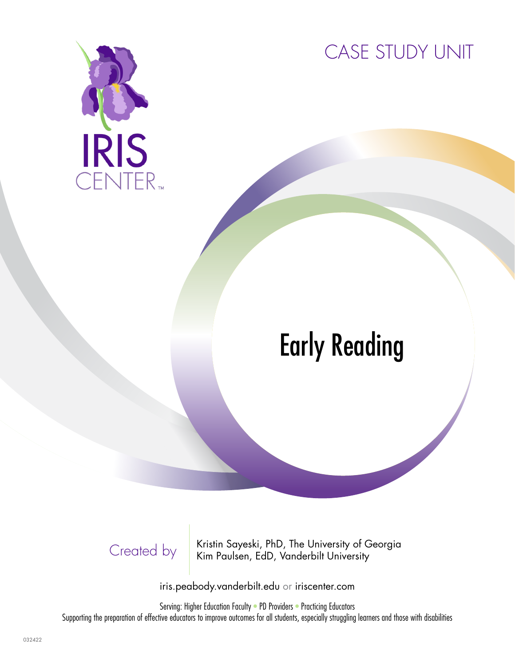

CASE STUDY UNIT

# Early Reading

Created by Kristin Sayeski, PhD, The University of Georgia<br>Kim Paulsen, EdD, Vanderbilt University Kim Paulsen, EdD, Vanderbilt University

iris.peabody.vanderbilt.edu or iriscenter.com

Serving: Higher Education Faculty • PD Providers • Practicing Educators Supporting the preparation of effective educators to improve outcomes for all students, especially struggling learners and those with disabilities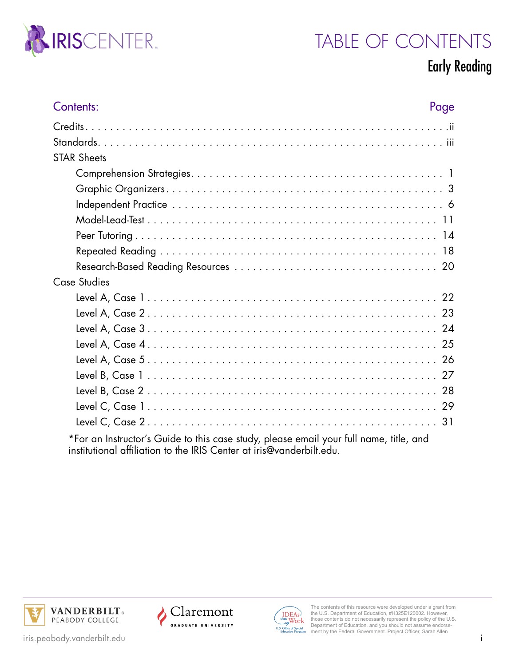

# TABLE OF CONTENTS

#### Early Reading

| Contents:                                                                              | Page |
|----------------------------------------------------------------------------------------|------|
|                                                                                        |      |
|                                                                                        |      |
| <b>STAR Sheets</b>                                                                     |      |
|                                                                                        |      |
|                                                                                        |      |
|                                                                                        |      |
|                                                                                        |      |
|                                                                                        |      |
|                                                                                        |      |
|                                                                                        |      |
| Case Studies                                                                           |      |
|                                                                                        |      |
|                                                                                        |      |
|                                                                                        |      |
|                                                                                        |      |
|                                                                                        |      |
|                                                                                        |      |
|                                                                                        |      |
|                                                                                        |      |
|                                                                                        |      |
| *For an Instructor's Guide to this case study, please email your full name, title, and |      |

institutional affiliation to the IRIS Center at iris@vanderbilt.edu.







The contents of this resource were developed under a grant from the U.S. Department of Education, #H325E120002. However, those contents do not necessarily represent the policy of the U.S. Department of Education, and you should not assume endorse-ment by the Federal Government. Project Officer, Sarah Allen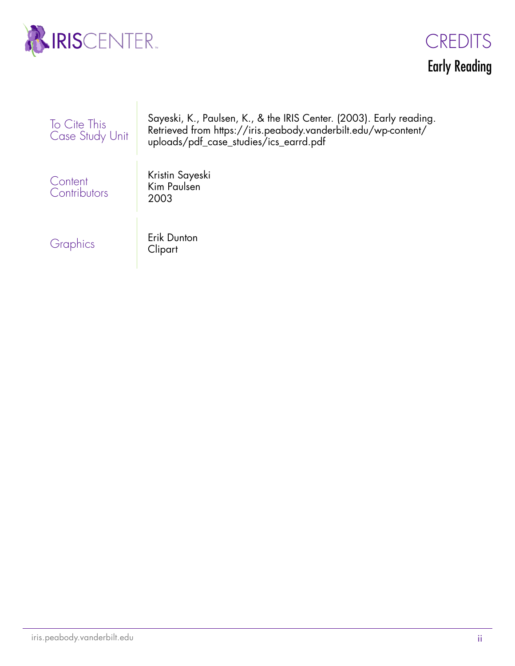

 $\overline{\phantom{a}}$ 



| To Cite This<br>Case Study Unit | Sayeski, K., Paulsen, K., & the IRIS Center. (2003). Early reading.<br>Retrieved from https://iris.peabody.vanderbilt.edu/wp-content/<br>uploads/pdf_case_studies/ics_earrd.pdf |
|---------------------------------|---------------------------------------------------------------------------------------------------------------------------------------------------------------------------------|
| Content<br>Contributors         | Kristin Sayeski<br>Kim Paulsen<br>2003                                                                                                                                          |
| Graphics                        | Erik Dunton<br>Clipart                                                                                                                                                          |

ii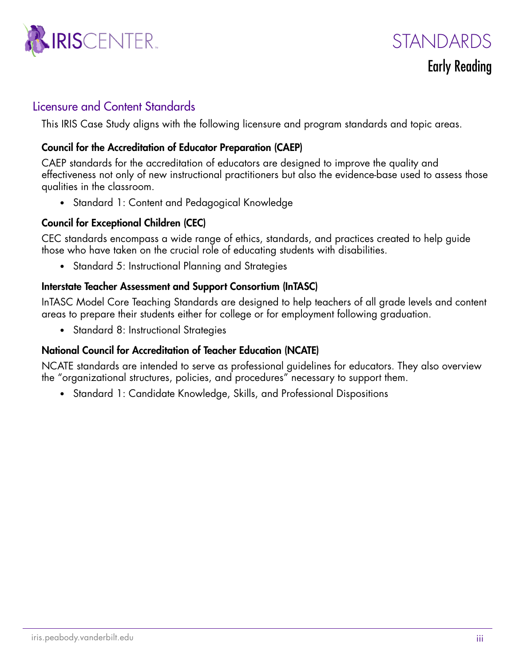

STANDARDS

#### Early Reading

#### Licensure and Content Standards

This IRIS Case Study aligns with the following licensure and program standards and topic areas.

#### Council for the Accreditation of Educator Preparation (CAEP)

CAEP standards for the accreditation of educators are designed to improve the quality and effectiveness not only of new instructional practitioners but also the evidence-base used to assess those qualities in the classroom.

• Standard 1: Content and Pedagogical Knowledge

#### Council for Exceptional Children (CEC)

CEC standards encompass a wide range of ethics, standards, and practices created to help guide those who have taken on the crucial role of educating students with disabilities.

• Standard 5: Instructional Planning and Strategies

#### Interstate Teacher Assessment and Support Consortium (InTASC)

InTASC Model Core Teaching Standards are designed to help teachers of all grade levels and content areas to prepare their students either for college or for employment following graduation.

• Standard 8: Instructional Strategies

#### National Council for Accreditation of Teacher Education (NCATE)

NCATE standards are intended to serve as professional guidelines for educators. They also overview the "organizational structures, policies, and procedures" necessary to support them.

• Standard 1: Candidate Knowledge, Skills, and Professional Dispositions

iii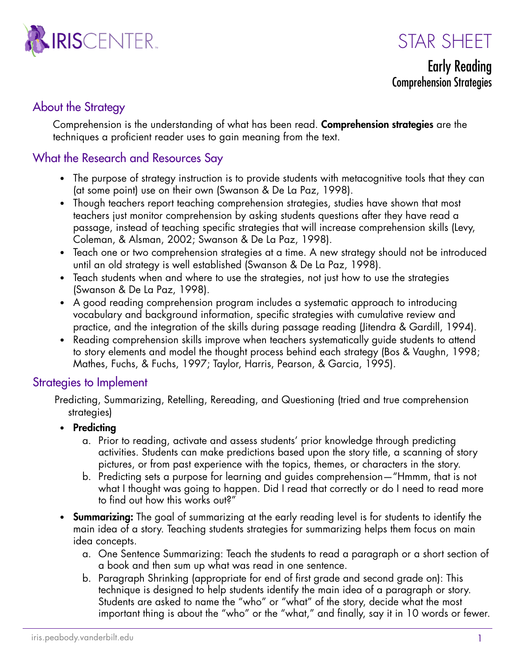

STAR SHFFT

Early Reading Comprehension Strategies

#### About the Strategy

Comprehension is the understanding of what has been read. **Comprehension strategies** are the techniques a proficient reader uses to gain meaning from the text.

#### What the Research and Resources Say

- The purpose of strategy instruction is to provide students with metacognitive tools that they can (at some point) use on their own (Swanson & De La Paz, 1998).
- Though teachers report teaching comprehension strategies, studies have shown that most teachers just monitor comprehension by asking students questions after they have read a passage, instead of teaching specific strategies that will increase comprehension skills (Levy, Coleman, & Alsman, 2002; Swanson & De La Paz, 1998).
- Teach one or two comprehension strategies at a time. A new strategy should not be introduced until an old strategy is well established (Swanson & De La Paz, 1998).
- Teach students when and where to use the strategies, not just how to use the strategies (Swanson & De La Paz, 1998).
- A good reading comprehension program includes a systematic approach to introducing vocabulary and background information, specific strategies with cumulative review and practice, and the integration of the skills during passage reading (Jitendra & Gardill, 1994).
- Reading comprehension skills improve when teachers systematically guide students to attend to story elements and model the thought process behind each strategy (Bos & Vaughn, 1998; Mathes, Fuchs, & Fuchs, 1997; Taylor, Harris, Pearson, & Garcia, 1995).

#### Strategies to Implement

Predicting, Summarizing, Retelling, Rereading, and Questioning (tried and true comprehension strategies)

- Predicting
	- a. Prior to reading, activate and assess students' prior knowledge through predicting activities. Students can make predictions based upon the story title, a scanning of story pictures, or from past experience with the topics, themes, or characters in the story.
	- b. Predicting sets a purpose for learning and guides comprehension—"Hmmm, that is not what I thought was going to happen. Did I read that correctly or do I need to read more to find out how this works out?"
- **Summarizing:** The goal of summarizing at the early reading level is for students to identify the main idea of a story. Teaching students strategies for summarizing helps them focus on main idea concepts.
	- a. One Sentence Summarizing: Teach the students to read a paragraph or a short section of a book and then sum up what was read in one sentence.
	- b. Paragraph Shrinking (appropriate for end of first grade and second grade on): This technique is designed to help students identify the main idea of a paragraph or story. Students are asked to name the "who" or "what" of the story, decide what the most important thing is about the "who" or the "what," and finally, say it in 10 words or fewer.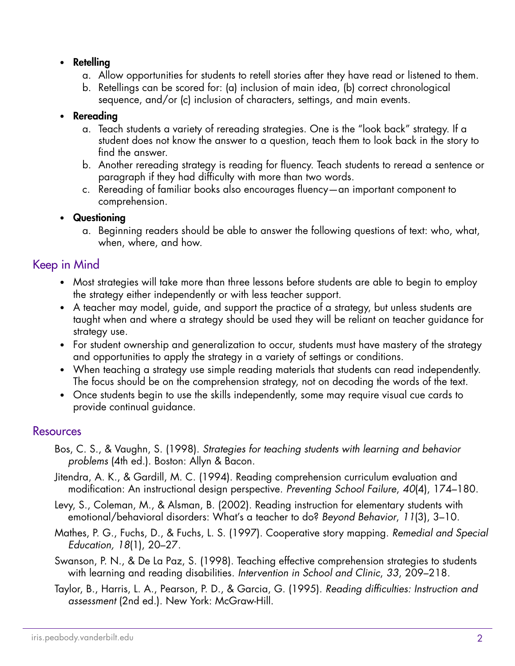#### • Retelling

- a. Allow opportunities for students to retell stories after they have read or listened to them.
- b. Retellings can be scored for: (a) inclusion of main idea, (b) correct chronological sequence, and/or (c) inclusion of characters, settings, and main events.

#### • Rereading

- a. Teach students a variety of rereading strategies. One is the "look back" strategy. If a student does not know the answer to a question, teach them to look back in the story to find the answer.
- b. Another rereading strategy is reading for fluency. Teach students to reread a sentence or paragraph if they had difficulty with more than two words.
- c. Rereading of familiar books also encourages fluency—an important component to comprehension.

#### • Questioning

a. Beginning readers should be able to answer the following questions of text: who, what, when, where, and how.

#### Keep in Mind

- Most strategies will take more than three lessons before students are able to begin to employ the strategy either independently or with less teacher support.
- A teacher may model, guide, and support the practice of a strategy, but unless students are taught when and where a strategy should be used they will be reliant on teacher guidance for strategy use.
- For student ownership and generalization to occur, students must have mastery of the strategy and opportunities to apply the strategy in a variety of settings or conditions.
- When teaching a strategy use simple reading materials that students can read independently. The focus should be on the comprehension strategy, not on decoding the words of the text.
- Once students begin to use the skills independently, some may require visual cue cards to provide continual guidance.

#### Resources

- Bos, C. S., & Vaughn, S. (1998). *Strategies for teaching students with learning and behavior problems* (4th ed.). Boston: Allyn & Bacon.
- Jitendra, A. K., & Gardill, M. C. (1994). Reading comprehension curriculum evaluation and modification: An instructional design perspective. *Preventing School Failure*, *40*(4), 174–180.
- Levy, S., Coleman, M., & Alsman, B. (2002). Reading instruction for elementary students with emotional/behavioral disorders: What's a teacher to do? *Beyond Behavior*, *11*(3), 3–10.
- Mathes, P. G., Fuchs, D., & Fuchs, L. S. (1997). Cooperative story mapping. *Remedial and Special Education, 18*(1), 20–27.
- Swanson, P. N., & De La Paz, S. (1998). Teaching effective comprehension strategies to students with learning and reading disabilities. *Intervention in School and Clinic*, *33*, 209–218.
- Taylor, B., Harris, L. A., Pearson, P. D., & Garcia, G. (1995). *Reading difficulties: Instruction and assessment* (2nd ed.). New York: McGraw-Hill.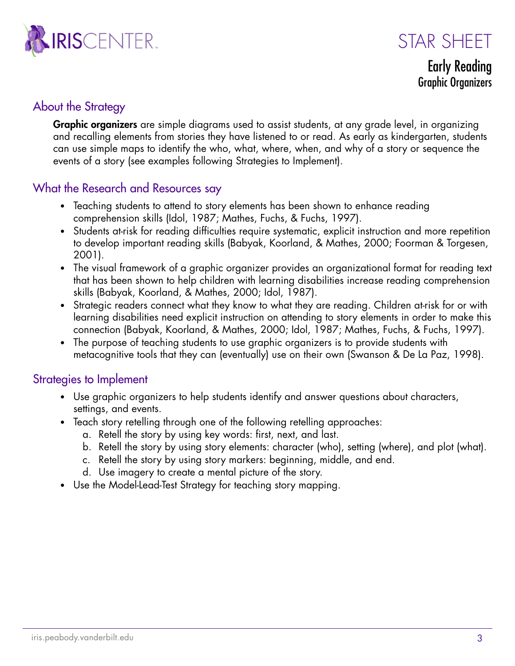



Early Reading Graphic Organizers

#### About the Strategy

**Graphic organizers** are simple diagrams used to assist students, at any grade level, in organizing and recalling elements from stories they have listened to or read. As early as kindergarten, students can use simple maps to identify the who, what, where, when, and why of a story or sequence the events of a story (see examples following Strategies to Implement).

#### What the Research and Resources say

- Teaching students to attend to story elements has been shown to enhance reading comprehension skills (Idol, 1987; Mathes, Fuchs, & Fuchs, 1997).
- Students at-risk for reading difficulties require systematic, explicit instruction and more repetition to develop important reading skills (Babyak, Koorland, & Mathes, 2000; Foorman & Torgesen, 2001).
- The visual framework of a graphic organizer provides an organizational format for reading text that has been shown to help children with learning disabilities increase reading comprehension skills (Babyak, Koorland, & Mathes, 2000; Idol, 1987).
- Strategic readers connect what they know to what they are reading. Children at-risk for or with learning disabilities need explicit instruction on attending to story elements in order to make this connection (Babyak, Koorland, & Mathes, 2000; Idol, 1987; Mathes, Fuchs, & Fuchs, 1997).
- The purpose of teaching students to use graphic organizers is to provide students with metacognitive tools that they can (eventually) use on their own (Swanson & De La Paz, 1998).

#### Strategies to Implement

- Use graphic organizers to help students identify and answer questions about characters, settings, and events.
- Teach story retelling through one of the following retelling approaches:
	- a. Retell the story by using key words: first, next, and last.
	- b. Retell the story by using story elements: character (who), setting (where), and plot (what).
	- c. Retell the story by using story markers: beginning, middle, and end.
	- d. Use imagery to create a mental picture of the story.
- Use the Model-Lead-Test Strategy for teaching story mapping.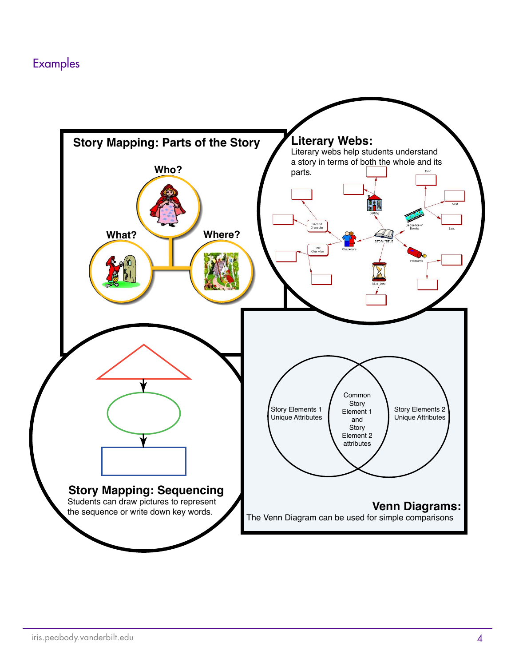#### Examples

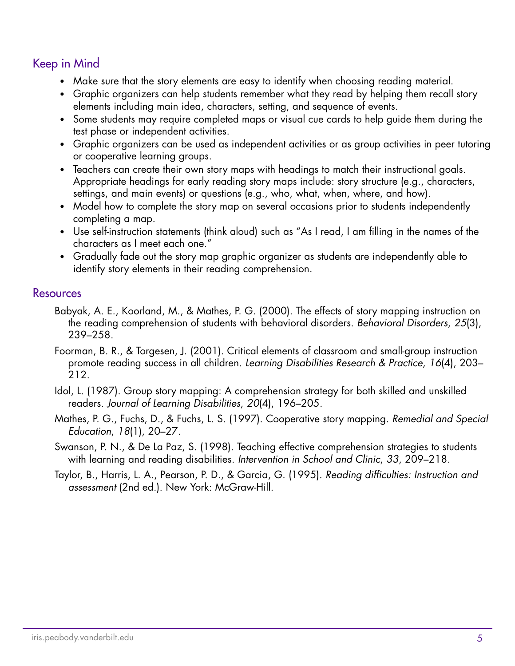#### Keep in Mind

- Make sure that the story elements are easy to identify when choosing reading material.
- Graphic organizers can help students remember what they read by helping them recall story elements including main idea, characters, setting, and sequence of events.
- Some students may require completed maps or visual cue cards to help guide them during the test phase or independent activities.
- Graphic organizers can be used as independent activities or as group activities in peer tutoring or cooperative learning groups.
- Teachers can create their own story maps with headings to match their instructional goals. Appropriate headings for early reading story maps include: story structure (e.g., characters, settings, and main events) or questions (e.g., who, what, when, where, and how).
- Model how to complete the story map on several occasions prior to students independently completing a map.
- Use self-instruction statements (think aloud) such as "As I read, I am filling in the names of the characters as I meet each one."
- Gradually fade out the story map graphic organizer as students are independently able to identify story elements in their reading comprehension.

#### Resources

- Babyak, A. E., Koorland, M., & Mathes, P. G. (2000). The effects of story mapping instruction on the reading comprehension of students with behavioral disorders. *Behavioral Disorders*, *25*(3), 239–258.
- Foorman, B. R., & Torgesen, J. (2001). Critical elements of classroom and small-group instruction promote reading success in all children. *Learning Disabilities Research & Practice*, *16*(4), 203– 212.
- Idol, L. (1987). Group story mapping: A comprehension strategy for both skilled and unskilled readers. *Journal of Learning Disabilities*, *20*(4), 196–205.
- Mathes, P. G., Fuchs, D., & Fuchs, L. S. (1997). Cooperative story mapping. *Remedial and Special Education*, *18*(1), 20–27.
- Swanson, P. N., & De La Paz, S. (1998). Teaching effective comprehension strategies to students with learning and reading disabilities. *Intervention in School and Clinic*, *33*, 209–218.
- Taylor, B., Harris, L. A., Pearson, P. D., & Garcia, G. (1995). *Reading difficulties: Instruction and assessment* (2nd ed.). New York: McGraw-Hill.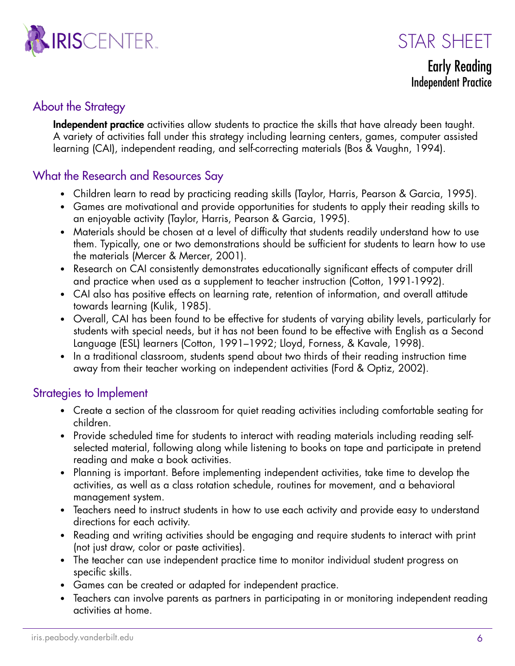



Early Reading Independent Practice

#### About the Strategy

Independent practice activities allow students to practice the skills that have already been taught. A variety of activities fall under this strategy including learning centers, games, computer assisted learning (CAI), independent reading, and self-correcting materials (Bos & Vaughn, 1994).

#### What the Research and Resources Say

- Children learn to read by practicing reading skills (Taylor, Harris, Pearson & Garcia, 1995).
- Games are motivational and provide opportunities for students to apply their reading skills to an enjoyable activity (Taylor, Harris, Pearson & Garcia, 1995).
- Materials should be chosen at a level of difficulty that students readily understand how to use them. Typically, one or two demonstrations should be sufficient for students to learn how to use the materials (Mercer & Mercer, 2001).
- Research on CAI consistently demonstrates educationally significant effects of computer drill and practice when used as a supplement to teacher instruction (Cotton, 1991-1992).
- CAI also has positive effects on learning rate, retention of information, and overall attitude towards learning (Kulik, 1985).
- Overall, CAI has been found to be effective for students of varying ability levels, particularly for students with special needs, but it has not been found to be effective with English as a Second Language (ESL) learners (Cotton, 1991–1992; Lloyd, Forness, & Kavale, 1998).
- In a traditional classroom, students spend about two thirds of their reading instruction time away from their teacher working on independent activities (Ford & Optiz, 2002).

#### Strategies to Implement

- Create a section of the classroom for quiet reading activities including comfortable seating for children.
- Provide scheduled time for students to interact with reading materials including reading selfselected material, following along while listening to books on tape and participate in pretend reading and make a book activities.
- Planning is important. Before implementing independent activities, take time to develop the activities, as well as a class rotation schedule, routines for movement, and a behavioral management system.
- Teachers need to instruct students in how to use each activity and provide easy to understand directions for each activity.
- Reading and writing activities should be engaging and require students to interact with print (not just draw, color or paste activities).
- The teacher can use independent practice time to monitor individual student progress on specific skills.
- Games can be created or adapted for independent practice.
- Teachers can involve parents as partners in participating in or monitoring independent reading activities at home.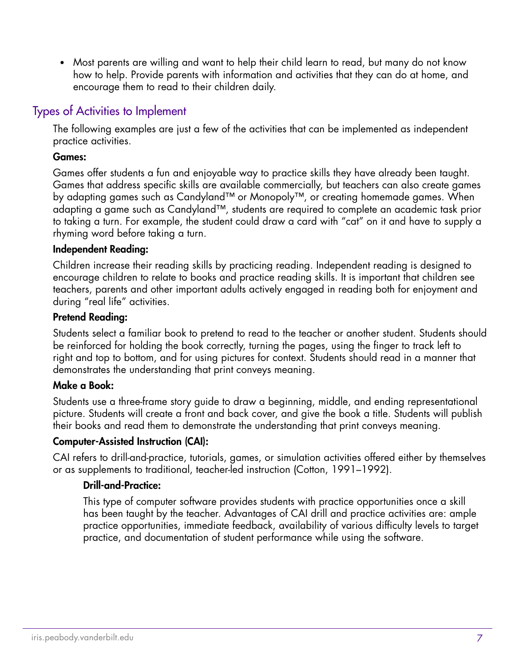• Most parents are willing and want to help their child learn to read, but many do not know how to help. Provide parents with information and activities that they can do at home, and encourage them to read to their children daily.

#### Types of Activities to Implement

The following examples are just a few of the activities that can be implemented as independent practice activities.

#### Games:

Games offer students a fun and enjoyable way to practice skills they have already been taught. Games that address specific skills are available commercially, but teachers can also create games by adapting games such as Candyland™ or Monopoly™, or creating homemade games. When adapting a game such as Candyland™, students are required to complete an academic task prior to taking a turn. For example, the student could draw a card with "cat" on it and have to supply a rhyming word before taking a turn.

#### Independent Reading:

Children increase their reading skills by practicing reading. Independent reading is designed to encourage children to relate to books and practice reading skills. It is important that children see teachers, parents and other important adults actively engaged in reading both for enjoyment and during "real life" activities.

#### Pretend Reading:

Students select a familiar book to pretend to read to the teacher or another student. Students should be reinforced for holding the book correctly, turning the pages, using the finger to track left to right and top to bottom, and for using pictures for context. Students should read in a manner that demonstrates the understanding that print conveys meaning.

#### Make a Book:

Students use a three-frame story guide to draw a beginning, middle, and ending representational picture. Students will create a front and back cover, and give the book a title. Students will publish their books and read them to demonstrate the understanding that print conveys meaning.

#### Computer-Assisted Instruction (CAI):

CAI refers to drill-and-practice, tutorials, games, or simulation activities offered either by themselves or as supplements to traditional, teacher-led instruction (Cotton, 1991–1992).

#### Drill-and-Practice:

This type of computer software provides students with practice opportunities once a skill has been taught by the teacher. Advantages of CAI drill and practice activities are: ample practice opportunities, immediate feedback, availability of various difficulty levels to target practice, and documentation of student performance while using the software.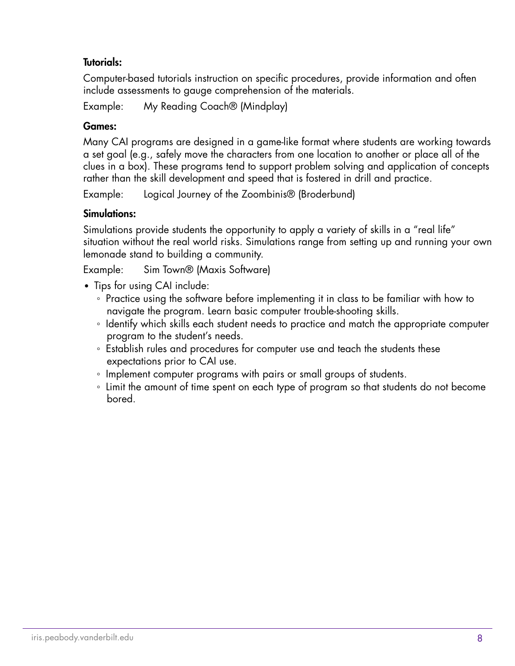#### Tutorials:

Computer-based tutorials instruction on specific procedures, provide information and often include assessments to gauge comprehension of the materials.

Example: My Reading Coach® (Mindplay)

#### Games:

Many CAI programs are designed in a game-like format where students are working towards a set goal (e.g., safely move the characters from one location to another or place all of the clues in a box). These programs tend to support problem solving and application of concepts rather than the skill development and speed that is fostered in drill and practice.

Example: Logical Journey of the Zoombinis® (Broderbund)

#### Simulations:

Simulations provide students the opportunity to apply a variety of skills in a "real life" situation without the real world risks. Simulations range from setting up and running your own lemonade stand to building a community.

Example: Sim Town® (Maxis Software)

- Tips for using CAI include:
	- Practice using the software before implementing it in class to be familiar with how to navigate the program. Learn basic computer trouble-shooting skills.
	- Identify which skills each student needs to practice and match the appropriate computer program to the student's needs.
	- Establish rules and procedures for computer use and teach the students these expectations prior to CAI use.
	- Implement computer programs with pairs or small groups of students.
	- Limit the amount of time spent on each type of program so that students do not become bored.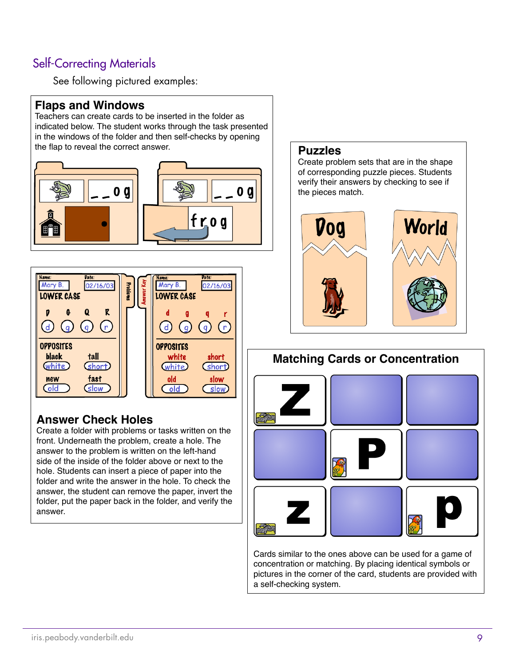#### Self-Correcting Materials

See following pictured examples:

#### **Flaps and Windows**

Teachers can create cards to be inserted in the folder as indicated below. The student works through the task presented in the windows of the folder and then self-checks by opening the flap to reveal the correct answer. **Puzzles**





#### **Answer Check Holes**

Create a folder with problems or tasks written on the front. Underneath the problem, create a hole. The answer to the problem is written on the left-hand side of the inside of the folder above or next to the hole. Students can insert a piece of paper into the folder and write the answer in the hole. To check the answer, the student can remove the paper, invert the folder, put the paper back in the folder, and verify the answer.

Create problem sets that are in the shape of corresponding puzzle pieces. Students verify their answers by checking to see if the pieces match.



# **Matching Cards or Concentration**

Cards similar to the ones above can be used for a game of concentration or matching. By placing identical symbols or pictures in the corner of the card, students are provided with a self-checking system.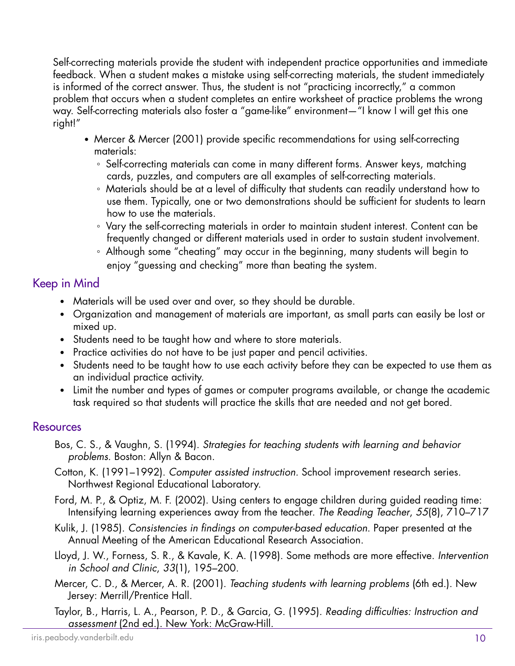Self-correcting materials provide the student with independent practice opportunities and immediate feedback. When a student makes a mistake using self-correcting materials, the student immediately is informed of the correct answer. Thus, the student is not "practicing incorrectly," a common problem that occurs when a student completes an entire worksheet of practice problems the wrong way. Self-correcting materials also foster a "game-like" environment—"I know I will get this one right!"

- Mercer & Mercer (2001) provide specific recommendations for using self-correcting materials:
	- Self-correcting materials can come in many different forms. Answer keys, matching cards, puzzles, and computers are all examples of self-correcting materials.
	- Materials should be at a level of difficulty that students can readily understand how to use them. Typically, one or two demonstrations should be sufficient for students to learn how to use the materials.
	- Vary the self-correcting materials in order to maintain student interest. Content can be frequently changed or different materials used in order to sustain student involvement.
	- Although some "cheating" may occur in the beginning, many students will begin to enjoy "guessing and checking" more than beating the system.

#### Keep in Mind

- Materials will be used over and over, so they should be durable.
- Organization and management of materials are important, as small parts can easily be lost or mixed up.
- Students need to be taught how and where to store materials.
- Practice activities do not have to be just paper and pencil activities.
- Students need to be taught how to use each activity before they can be expected to use them as an individual practice activity.
- Limit the number and types of games or computer programs available, or change the academic task required so that students will practice the skills that are needed and not get bored.

#### **Resources**

- Bos, C. S., & Vaughn, S. (1994). *Strategies for teaching students with learning and behavior problems*. Boston: Allyn & Bacon.
- Cotton, K. (1991–1992). *Computer assisted instruction.* School improvement research series. Northwest Regional Educational Laboratory.
- Ford, M. P., & Optiz, M. F. (2002). Using centers to engage children during guided reading time: Intensifying learning experiences away from the teacher. *The Reading Teacher*, *55*(8), 710–717
- Kulik, J. (1985). *Consistencies in findings on computer-based education*. Paper presented at the Annual Meeting of the American Educational Research Association.
- Lloyd, J. W., Forness, S. R., & Kavale, K. A. (1998). Some methods are more effective. *Intervention in School and Clinic*, *33*(1), 195–200.
- Mercer, C. D., & Mercer, A. R. (2001). *Teaching students with learning problems* (6th ed.). New Jersey: Merrill/Prentice Hall.
- 10 Taylor, B., Harris, L. A., Pearson, P. D., & Garcia, G. (1995). *Reading difficulties: Instruction and assessment* (2nd ed.). New York: McGraw-Hill.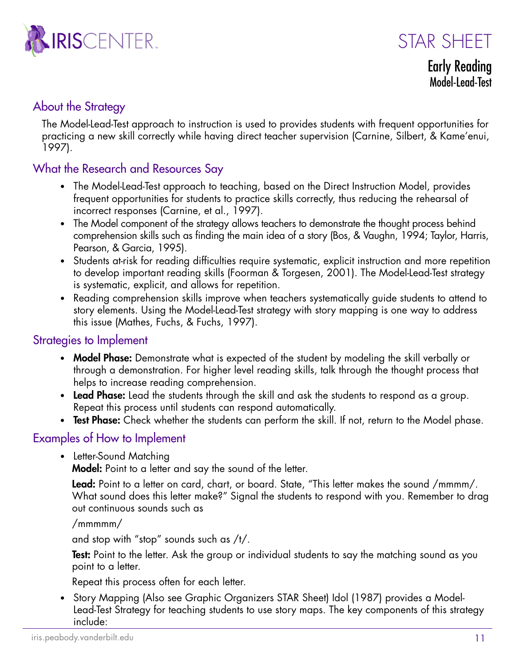

STAR SHFFT

Early Reading Model-Lead-Test

#### About the Strategy

The Model-Lead-Test approach to instruction is used to provides students with frequent opportunities for practicing a new skill correctly while having direct teacher supervision (Carnine, Silbert, & Kame'enui, 1997).

#### What the Research and Resources Say

- The Model-Lead-Test approach to teaching, based on the Direct Instruction Model, provides frequent opportunities for students to practice skills correctly, thus reducing the rehearsal of incorrect responses (Carnine, et al., 1997).
- The Model component of the strategy allows teachers to demonstrate the thought process behind comprehension skills such as finding the main idea of a story (Bos, & Vaughn, 1994; Taylor, Harris, Pearson, & Garcia, 1995).
- Students at-risk for reading difficulties require systematic, explicit instruction and more repetition to develop important reading skills (Foorman & Torgesen, 2001). The Model-Lead-Test strategy is systematic, explicit, and allows for repetition.
- Reading comprehension skills improve when teachers systematically guide students to attend to story elements. Using the Model-Lead-Test strategy with story mapping is one way to address this issue (Mathes, Fuchs, & Fuchs, 1997).

#### Strategies to Implement

- Model Phase: Demonstrate what is expected of the student by modeling the skill verbally or through a demonstration. For higher level reading skills, talk through the thought process that helps to increase reading comprehension.
- Lead Phase: Lead the students through the skill and ask the students to respond as a group. Repeat this process until students can respond automatically.
- Test Phase: Check whether the students can perform the skill. If not, return to the Model phase.

#### Examples of How to Implement

• Letter-Sound Matching

Model: Point to a letter and say the sound of the letter.

**Lead:** Point to a letter on card, chart, or board. State, "This letter makes the sound /mmmm/. What sound does this letter make?" Signal the students to respond with you. Remember to drag out continuous sounds such as

#### /mmmmm/

and stop with "stop" sounds such as /t/.

**Test:** Point to the letter. Ask the group or individual students to say the matching sound as you point to a letter.

Repeat this process often for each letter.

11 • Story Mapping (Also see Graphic Organizers STAR Sheet) Idol (1987) provides a Model-Lead-Test Strategy for teaching students to use story maps. The key components of this strategy include: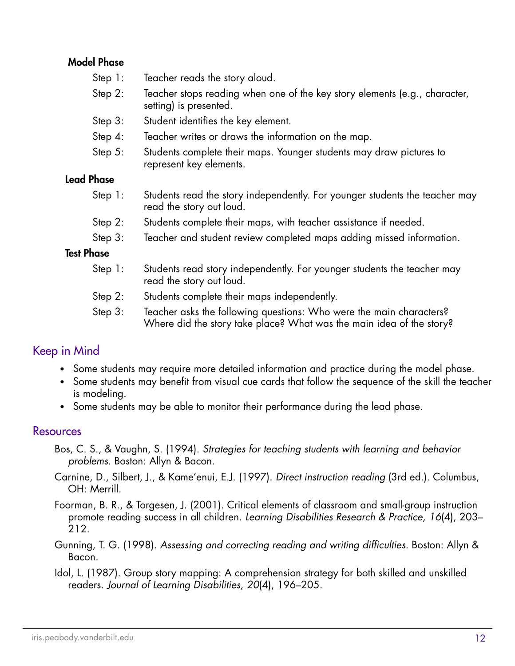#### Model Phase

- Step 1: Teacher reads the story aloud.
- Step 2: Teacher stops reading when one of the key story elements (e.g., character, setting) is presented.
- Step 3: Student identifies the key element.
- Step 4: Teacher writes or draws the information on the map.
- Step 5: Students complete their maps. Younger students may draw pictures to represent key elements.

#### Lead Phase

- Step 1: Students read the story independently. For younger students the teacher may read the story out loud.
- Step 2: Students complete their maps, with teacher assistance if needed.
- Step 3: Teacher and student review completed maps adding missed information.

#### Test Phase

- Step 1: Students read story independently. For younger students the teacher may read the story out loud.
- Step 2: Students complete their maps independently.
- Step 3: Teacher asks the following questions: Who were the main characters? Where did the story take place? What was the main idea of the story?

#### Keep in Mind

- Some students may require more detailed information and practice during the model phase.
- Some students may benefit from visual cue cards that follow the sequence of the skill the teacher is modeling.
- Some students may be able to monitor their performance during the lead phase.

#### **Resources**

- Bos, C. S., & Vaughn, S. (1994). *Strategies for teaching students with learning and behavior problems.* Boston: Allyn & Bacon.
- Carnine, D., Silbert, J., & Kame'enui, E.J. (1997). *Direct instruction reading* (3rd ed.). Columbus, OH: Merrill.
- Foorman, B. R., & Torgesen, J. (2001). Critical elements of classroom and small-group instruction promote reading success in all children. *Learning Disabilities Research & Practice, 16*(4), 203– 212.
- Gunning, T. G. (1998). *Assessing and correcting reading and writing difficulties.* Boston: Allyn & Bacon.
- Idol, L. (1987). Group story mapping: A comprehension strategy for both skilled and unskilled readers. *Journal of Learning Disabilities, 20*(4), 196–205.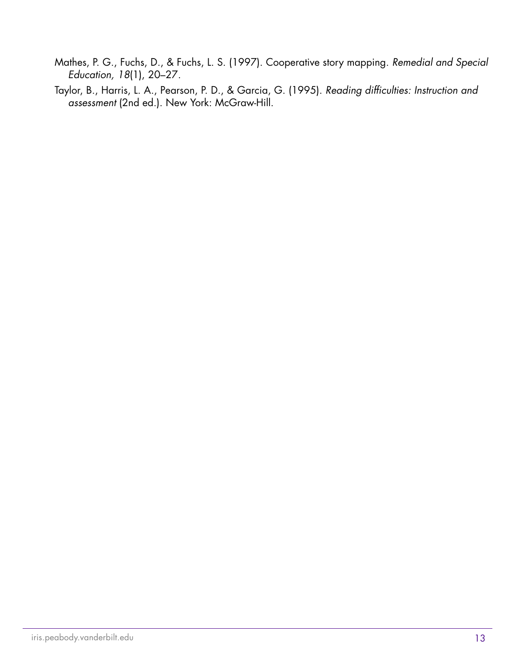- Mathes, P. G., Fuchs, D., & Fuchs, L. S. (1997). Cooperative story mapping. *Remedial and Special Education, 18*(1), 20–27.
- Taylor, B., Harris, L. A., Pearson, P. D., & Garcia, G. (1995). *Reading difficulties: Instruction and assessment* (2nd ed.). New York: McGraw-Hill.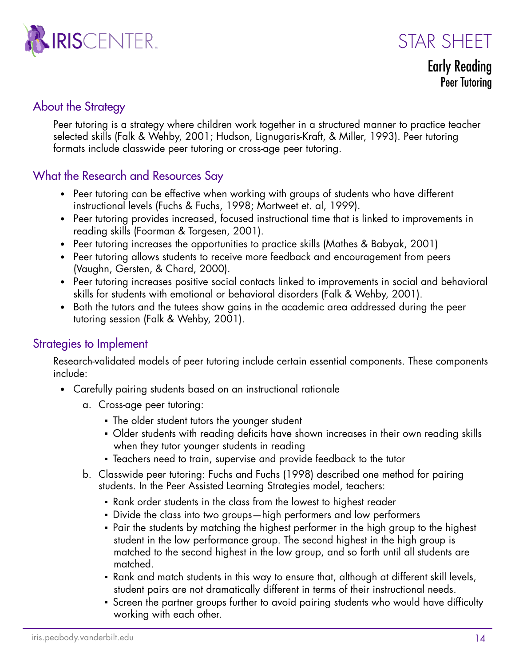

STAR SHFFT

Early Reading Peer Tutoring

#### About the Strategy

Peer tutoring is a strategy where children work together in a structured manner to practice teacher selected skills (Falk & Wehby, 2001; Hudson, Lignugaris-Kraft, & Miller, 1993). Peer tutoring formats include classwide peer tutoring or cross-age peer tutoring.

#### What the Research and Resources Say

- Peer tutoring can be effective when working with groups of students who have different instructional levels (Fuchs & Fuchs, 1998; Mortweet et. al, 1999).
- Peer tutoring provides increased, focused instructional time that is linked to improvements in reading skills (Foorman & Torgesen, 2001).
- Peer tutoring increases the opportunities to practice skills (Mathes & Babyak, 2001)
- Peer tutoring allows students to receive more feedback and encouragement from peers (Vaughn, Gersten, & Chard, 2000).
- Peer tutoring increases positive social contacts linked to improvements in social and behavioral skills for students with emotional or behavioral disorders (Falk & Wehby, 2001).
- Both the tutors and the tutees show gains in the academic area addressed during the peer tutoring session (Falk & Wehby, 2001).

#### Strategies to Implement

Research-validated models of peer tutoring include certain essential components. These components include:

- Carefully pairing students based on an instructional rationale
	- a. Cross-age peer tutoring:
		- **The older student tutors the younger student**
		- Older students with reading deficits have shown increases in their own reading skills when they tutor younger students in reading
		- Teachers need to train, supervise and provide feedback to the tutor
	- b. Classwide peer tutoring: Fuchs and Fuchs (1998) described one method for pairing students. In the Peer Assisted Learning Strategies model, teachers:
		- Rank order students in the class from the lowest to highest reader
		- Divide the class into two groups—high performers and low performers
		- Pair the students by matching the highest performer in the high group to the highest student in the low performance group. The second highest in the high group is matched to the second highest in the low group, and so forth until all students are matched.
		- Rank and match students in this way to ensure that, although at different skill levels, student pairs are not dramatically different in terms of their instructional needs.
		- Screen the partner groups further to avoid pairing students who would have difficulty working with each other.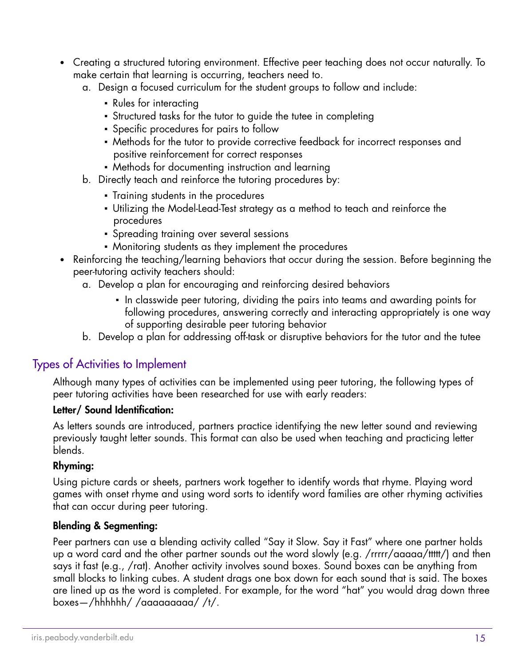- Creating a structured tutoring environment. Effective peer teaching does not occur naturally. To make certain that learning is occurring, teachers need to.
	- a. Design a focused curriculum for the student groups to follow and include:
		- **Rules for interacting**
		- Structured tasks for the tutor to guide the tutee in completing
		- **•** Specific procedures for pairs to follow
		- Methods for the tutor to provide corrective feedback for incorrect responses and positive reinforcement for correct responses
		- Methods for documenting instruction and learning
	- b. Directly teach and reinforce the tutoring procedures by:
		- Training students in the procedures
		- Utilizing the Model-Lead-Test strategy as a method to teach and reinforce the procedures
		- **•** Spreading training over several sessions
		- Monitoring students as they implement the procedures
- Reinforcing the teaching/learning behaviors that occur during the session. Before beginning the peer-tutoring activity teachers should:
	- a. Develop a plan for encouraging and reinforcing desired behaviors
		- In classwide peer tutoring, dividing the pairs into teams and awarding points for following procedures, answering correctly and interacting appropriately is one way of supporting desirable peer tutoring behavior
	- b. Develop a plan for addressing off-task or disruptive behaviors for the tutor and the tutee

#### Types of Activities to Implement

Although many types of activities can be implemented using peer tutoring, the following types of peer tutoring activities have been researched for use with early readers:

#### Letter/ Sound Identification:

As letters sounds are introduced, partners practice identifying the new letter sound and reviewing previously taught letter sounds. This format can also be used when teaching and practicing letter blends.

#### Rhyming:

Using picture cards or sheets, partners work together to identify words that rhyme. Playing word games with onset rhyme and using word sorts to identify word families are other rhyming activities that can occur during peer tutoring.

#### Blending & Segmenting:

Peer partners can use a blending activity called "Say it Slow. Say it Fast" where one partner holds up a word card and the other partner sounds out the word slowly (e.g. /rrrrr/aaaaa/ttttt/) and then says it fast (e.g., /rat). Another activity involves sound boxes. Sound boxes can be anything from small blocks to linking cubes. A student drags one box down for each sound that is said. The boxes are lined up as the word is completed. For example, for the word "hat" you would drag down three boxes—/hhhhhh/ /aaaaaaaaa/ /t/.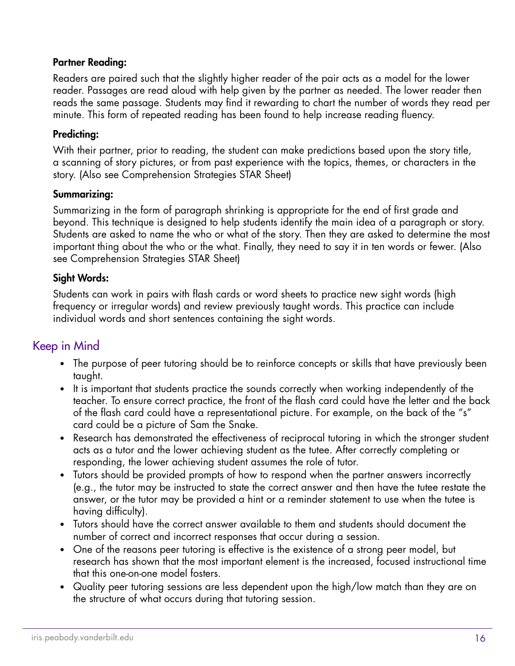#### Partner Reading:

Readers are paired such that the slightly higher reader of the pair acts as a model for the lower reader. Passages are read aloud with help given by the partner as needed. The lower reader then reads the same passage. Students may find it rewarding to chart the number of words they read per minute. This form of repeated reading has been found to help increase reading fluency.

#### Predicting:

With their partner, prior to reading, the student can make predictions based upon the story title, a scanning of story pictures, or from past experience with the topics, themes, or characters in the story. (Also see Comprehension Strategies STAR Sheet)

#### Summarizing:

Summarizing in the form of paragraph shrinking is appropriate for the end of first grade and beyond. This technique is designed to help students identify the main idea of a paragraph or story. Students are asked to name the who or what of the story. Then they are asked to determine the most important thing about the who or the what. Finally, they need to say it in ten words or fewer. (Also see Comprehension Strategies STAR Sheet)

#### Sight Words:

Students can work in pairs with flash cards or word sheets to practice new sight words (high frequency or irregular words) and review previously taught words. This practice can include individual words and short sentences containing the sight words.

#### Keep in Mind

- The purpose of peer tutoring should be to reinforce concepts or skills that have previously been taught.
- It is important that students practice the sounds correctly when working independently of the teacher. To ensure correct practice, the front of the flash card could have the letter and the back of the flash card could have a representational picture. For example, on the back of the "s" card could be a picture of Sam the Snake.
- Research has demonstrated the effectiveness of reciprocal tutoring in which the stronger student acts as a tutor and the lower achieving student as the tutee. After correctly completing or responding, the lower achieving student assumes the role of tutor.
- Tutors should be provided prompts of how to respond when the partner answers incorrectly (e.g., the tutor may be instructed to state the correct answer and then have the tutee restate the answer, or the tutor may be provided a hint or a reminder statement to use when the tutee is having difficulty).
- Tutors should have the correct answer available to them and students should document the number of correct and incorrect responses that occur during a session.
- One of the reasons peer tutoring is effective is the existence of a strong peer model, but research has shown that the most important element is the increased, focused instructional time that this one-on-one model fosters.
- Quality peer tutoring sessions are less dependent upon the high/low match than they are on the structure of what occurs during that tutoring session.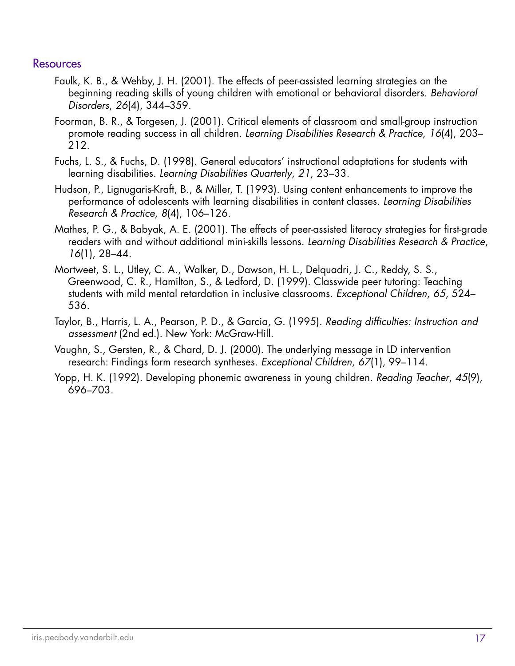#### **Resources**

- Faulk, K. B., & Wehby, J. H. (2001). The effects of peer-assisted learning strategies on the beginning reading skills of young children with emotional or behavioral disorders. *Behavioral Disorders*, *26*(4), 344–359.
- Foorman, B. R., & Torgesen, J. (2001). Critical elements of classroom and small-group instruction promote reading success in all children. *Learning Disabilities Research & Practice*, *16*(4), 203– 212.
- Fuchs, L. S., & Fuchs, D. (1998). General educators' instructional adaptations for students with learning disabilities. *Learning Disabilities Quarterly*, *21*, 23–33.
- Hudson, P., Lignugaris-Kraft, B., & Miller, T. (1993). Using content enhancements to improve the performance of adolescents with learning disabilities in content classes. *Learning Disabilities Research & Practice*, *8*(4), 106–126.
- Mathes, P. G., & Babyak, A. E. (2001). The effects of peer-assisted literacy strategies for first-grade readers with and without additional mini-skills lessons. *Learning Disabilities Research & Practice*, *16*(1), 28–44.
- Mortweet, S. L., Utley, C. A., Walker, D., Dawson, H. L., Delquadri, J. C., Reddy, S. S., Greenwood, C. R., Hamilton, S., & Ledford, D. (1999). Classwide peer tutoring: Teaching students with mild mental retardation in inclusive classrooms. *Exceptional Children*, *65*, 524– 536.
- Taylor, B., Harris, L. A., Pearson, P. D., & Garcia, G. (1995). *Reading difficulties: Instruction and assessment* (2nd ed.). New York: McGraw-Hill.
- Vaughn, S., Gersten, R., & Chard, D. J. (2000). The underlying message in LD intervention research: Findings form research syntheses. *Exceptional Children*, *67*(1), 99–114.
- Yopp, H. K. (1992). Developing phonemic awareness in young children. *Reading Teacher*, *45*(9), 696–703.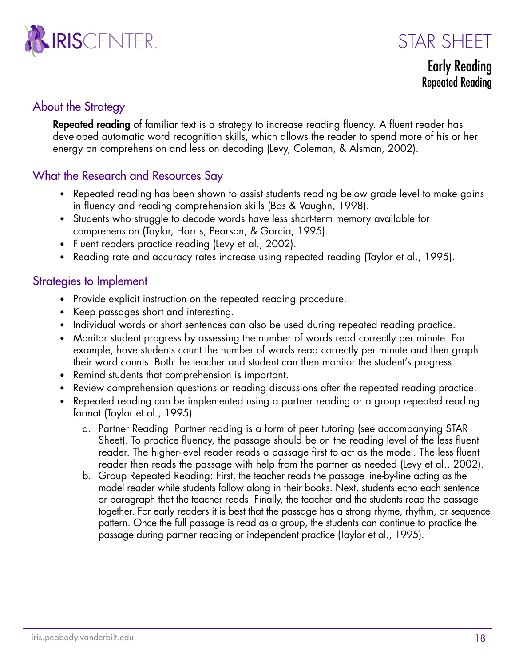



Early Reading Repeated Reading

#### About the Strategy

**Repeated reading** of familiar text is a strategy to increase reading fluency. A fluent reader has developed automatic word recognition skills, which allows the reader to spend more of his or her energy on comprehension and less on decoding (Levy, Coleman, & Alsman, 2002).

#### What the Research and Resources Say

- Repeated reading has been shown to assist students reading below grade level to make gains in fluency and reading comprehension skills (Bos & Vaughn, 1998).
- Students who struggle to decode words have less short-term memory available for comprehension (Taylor, Harris, Pearson, & Garcia, 1995).
- Fluent readers practice reading (Levy et al., 2002).
- Reading rate and accuracy rates increase using repeated reading (Taylor et al., 1995).

#### Strategies to Implement

- Provide explicit instruction on the repeated reading procedure.
- Keep passages short and interesting.
- Individual words or short sentences can also be used during repeated reading practice.
- Monitor student progress by assessing the number of words read correctly per minute. For example, have students count the number of words read correctly per minute and then graph their word counts. Both the teacher and student can then monitor the student's progress.
- Remind students that comprehension is important.
- Review comprehension questions or reading discussions after the repeated reading practice.
- Repeated reading can be implemented using a partner reading or a group repeated reading format (Taylor et al., 1995).
	- a. Partner Reading: Partner reading is a form of peer tutoring (see accompanying STAR Sheet). To practice fluency, the passage should be on the reading level of the less fluent reader. The higher-level reader reads a passage first to act as the model. The less fluent reader then reads the passage with help from the partner as needed (Levy et al., 2002).
	- b. Group Repeated Reading: First, the teacher reads the passage line-by-line acting as the model reader while students follow along in their books. Next, students echo each sentence or paragraph that the teacher reads. Finally, the teacher and the students read the passage together. For early readers it is best that the passage has a strong rhyme, rhythm, or sequence pattern. Once the full passage is read as a group, the students can continue to practice the passage during partner reading or independent practice (Taylor et al., 1995).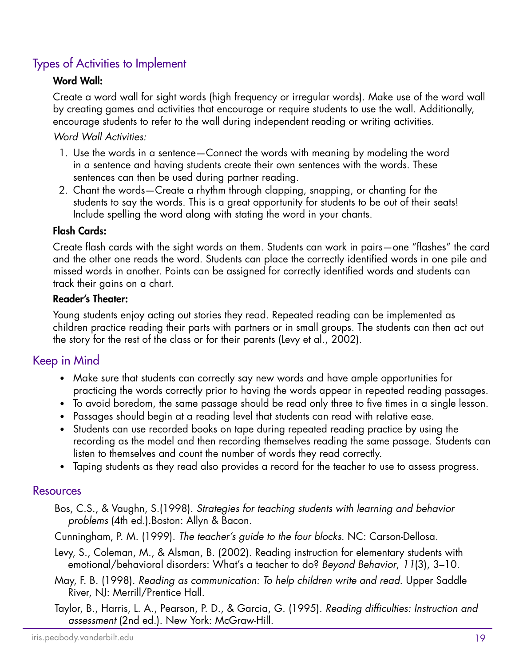#### Types of Activities to Implement

#### Word Wall:

Create a word wall for sight words (high frequency or irregular words). Make use of the word wall by creating games and activities that encourage or require students to use the wall. Additionally, encourage students to refer to the wall during independent reading or writing activities.

#### *Word Wall Activities:*

- 1. Use the words in a sentence—Connect the words with meaning by modeling the word in a sentence and having students create their own sentences with the words. These sentences can then be used during partner reading.
- 2. Chant the words—Create a rhythm through clapping, snapping, or chanting for the students to say the words. This is a great opportunity for students to be out of their seats! Include spelling the word along with stating the word in your chants.

#### Flash Cards:

Create flash cards with the sight words on them. Students can work in pairs—one "flashes" the card and the other one reads the word. Students can place the correctly identified words in one pile and missed words in another. Points can be assigned for correctly identified words and students can track their gains on a chart.

#### Reader's Theater:

Young students enjoy acting out stories they read. Repeated reading can be implemented as children practice reading their parts with partners or in small groups. The students can then act out the story for the rest of the class or for their parents (Levy et al., 2002).

#### Keep in Mind

- Make sure that students can correctly say new words and have ample opportunities for practicing the words correctly prior to having the words appear in repeated reading passages.
- To avoid boredom, the same passage should be read only three to five times in a single lesson.
- Passages should begin at a reading level that students can read with relative ease.
- Students can use recorded books on tape during repeated reading practice by using the recording as the model and then recording themselves reading the same passage. Students can listen to themselves and count the number of words they read correctly.
- Taping students as they read also provides a record for the teacher to use to assess progress.

#### **Resources**

Bos, C.S., & Vaughn, S.(1998). *Strategies for teaching students with learning and behavior problems* (4th ed.).Boston: Allyn & Bacon.

Cunningham, P. M. (1999). *The teacher's guide to the four blocks*. NC: Carson-Dellosa.

- Levy, S., Coleman, M., & Alsman, B. (2002). Reading instruction for elementary students with emotional/behavioral disorders: What's a teacher to do? *Beyond Behavior*, *11*(3), 3–10.
- May, F. B. (1998). *Reading as communication: To help children write and read*. Upper Saddle River, NJ: Merrill/Prentice Hall.
- 19 Taylor, B., Harris, L. A., Pearson, P. D., & Garcia, G. (1995). *Reading difficulties: Instruction and assessment* (2nd ed.). New York: McGraw-Hill.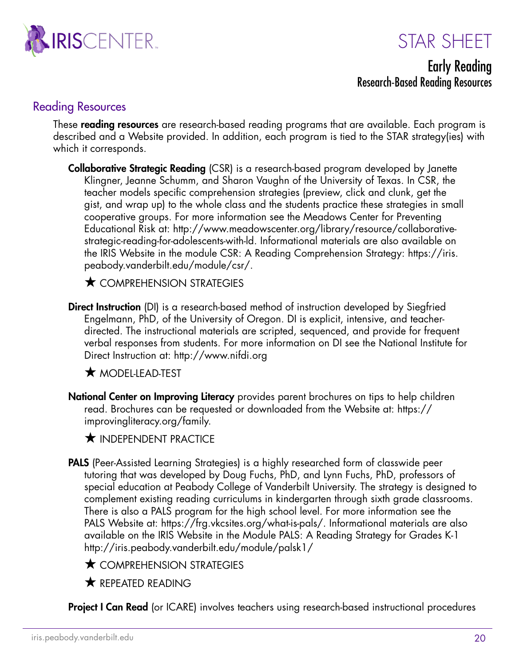



#### Early Reading Research-Based Reading Resources

#### Reading Resources

These **reading resources** are research-based reading programs that are available. Each program is described and a Website provided. In addition, each program is tied to the STAR strategy(ies) with which it corresponds.

**Collaborative Strategic Reading** (CSR) is a research-based program developed by Janette Klingner, Jeanne Schumm, and Sharon Vaughn of the University of Texas. In CSR, the teacher models specific comprehension strategies (preview, click and clunk, get the gist, and wrap up) to the whole class and the students practice these strategies in small cooperative groups. For more information see the Meadows Center for Preventing Educational Risk at: http://www.meadowscenter.org/library/resource/collaborativestrategic-reading-for-adolescents-with-ld. Informational materials are also available on the IRIS Website in the module CSR: A Reading Comprehension Strategy: [https://iris.](https://iris.peabody.vanderbilt.edu/module/csr/) [peabody.vanderbilt.edu/module/csr/](https://iris.peabody.vanderbilt.edu/module/csr/).

 $\bigstar$  comprehension strategies

**Direct Instruction** (DI) is a research-based method of instruction developed by Siegfried Engelmann, PhD, of the University of Oregon. DI is explicit, intensive, and teacherdirected. The instructional materials are scripted, sequenced, and provide for frequent verbal responses from students. For more information on DI see the National Institute for Direct Instruction at: http://www.nifdi.org

 $\star$  MODEL-LEAD-TEST

National Center on Improving Literacy provides parent brochures on tips to help children read. Brochures can be requested or downloaded from the Website at: [https://](https://improvingliteracy.org/family) [improvingliteracy.org/family.](https://improvingliteracy.org/family)

**THE INDEPENDENT PRACTICE** 

- PALS (Peer-Assisted Learning Strategies) is a highly researched form of classwide peer tutoring that was developed by Doug Fuchs, PhD, and Lynn Fuchs, PhD, professors of special education at Peabody College of Vanderbilt University. The strategy is designed to complement existing reading curriculums in kindergarten through sixth grade classrooms. There is also a PALS program for the high school level. For more information see the PALS Website at:<https://frg.vkcsites.org/what-is-pals/>. Informational materials are also available on the IRIS Website in the Module PALS: A Reading Strategy for Grades K-1 http://iris.peabody.vanderbilt.edu/module/palsk1/
	- $\star$  COMPREHENSION STRATEGIES
	- $\bigstar$  REPEATED READING

**Project I Can Read** (or ICARE) involves teachers using research-based instructional procedures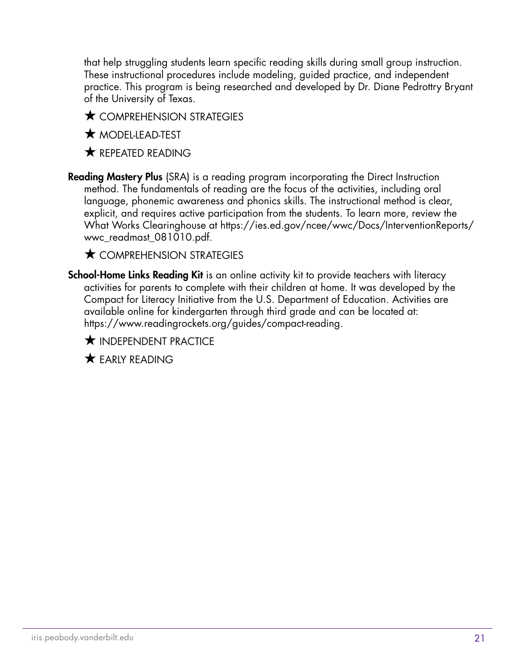that help struggling students learn specific reading skills during small group instruction. These instructional procedures include modeling, guided practice, and independent practice. This program is being researched and developed by Dr. Diane Pedrottry Bryant of the University of Texas.

- $\bigstar$  comprehension strategies
- $\star$  MODEL-LEAD-TEST
- $\bigstar$  REPEATED READING
- Reading Mastery Plus (SRA) is a reading program incorporating the Direct Instruction method. The fundamentals of reading are the focus of the activities, including oral language, phonemic awareness and phonics skills. The instructional method is clear, explicit, and requires active participation from the students. To learn more, review the What Works Clearinghouse at [https://ies.ed.gov/ncee/wwc/Docs/InterventionReports/](https://ies.ed.gov/ncee/wwc/Docs/InterventionReports/wwc_readmast_081010.pdf) [wwc\\_readmast\\_081010.pdf](https://ies.ed.gov/ncee/wwc/Docs/InterventionReports/wwc_readmast_081010.pdf).

 $\bigstar$  comprehension strategies

School-Home Links Reading Kit is an online activity kit to provide teachers with literacy activities for parents to complete with their children at home. It was developed by the Compact for Literacy Initiative from the U.S. Department of Education. Activities are available online for kindergarten through third grade and can be located at: <https://www.readingrockets.org/guides/compact-reading>.

**K** INDEPENDENT PRACTICE

 $\bigstar$  FARIY READING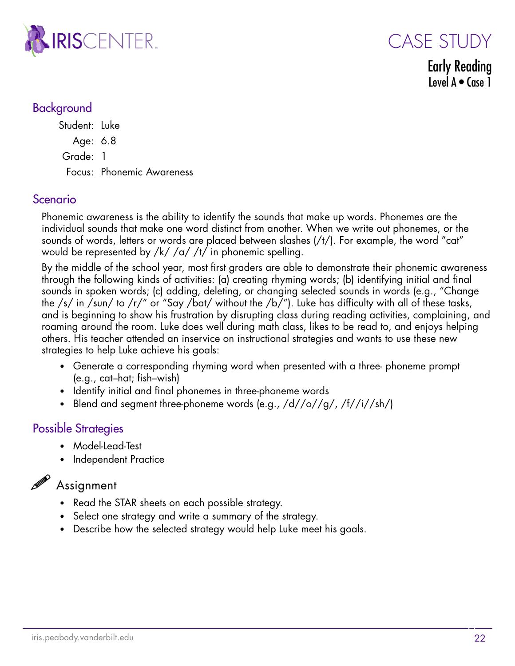

CASE STUDY

Early Reading Level A • Case 1

#### Background

Student: Luke Age: 6.8 Grade: 1 Focus: Phonemic Awareness

#### Scenario

Phonemic awareness is the ability to identify the sounds that make up words. Phonemes are the individual sounds that make one word distinct from another. When we write out phonemes, or the sounds of words, letters or words are placed between slashes (/t/). For example, the word "cat" would be represented by /k/ /a/ /t/ in phonemic spelling.

By the middle of the school year, most first graders are able to demonstrate their phonemic awareness through the following kinds of activities: (a) creating rhyming words; (b) identifying initial and final sounds in spoken words; (c) adding, deleting, or changing selected sounds in words (e.g., "Change the /s/ in /sun/ to /r/" or "Say /bat/ without the /b/"). Luke has difficulty with all of these tasks, and is beginning to show his frustration by disrupting class during reading activities, complaining, and roaming around the room. Luke does well during math class, likes to be read to, and enjoys helping others. His teacher attended an inservice on instructional strategies and wants to use these new strategies to help Luke achieve his goals:

- Generate a corresponding rhyming word when presented with a three- phoneme prompt (e.g., cat–hat; fish–wish)
- Identify initial and final phonemes in three-phoneme words
- Blend and segment three-phoneme words (e.g.,  $/d//o//g/$ ,  $/f//i//sh/$ )

#### Possible Strategies

- Model-Lead-Test
- Independent Practice

## $\mathscr{P}$  Assignment

- Read the STAR sheets on each possible strategy.
- Select one strategy and write a summary of the strategy.
- Describe how the selected strategy would help Luke meet his goals.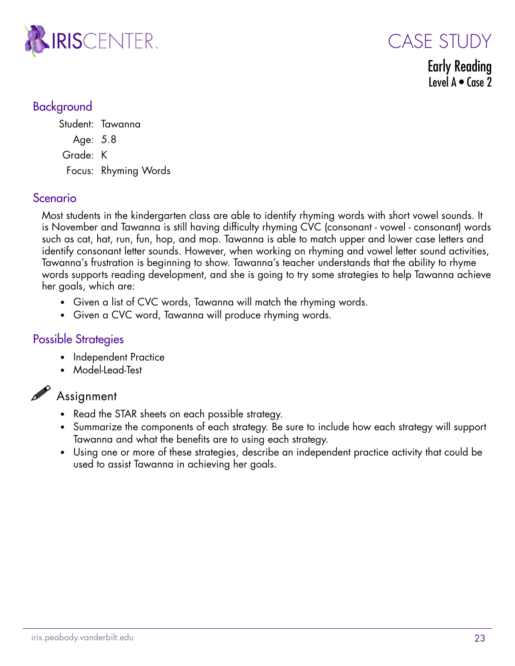

Early Reading Level  $A \bullet \text{Case } 2$ 

CASE STUDY

#### Background

Student: Tawanna Age: 5.8 Grade: K Focus: Rhyming Words

#### Scenario

Most students in the kindergarten class are able to identify rhyming words with short vowel sounds. It is November and Tawanna is still having difficulty rhyming CVC (consonant - vowel - consonant) words such as cat, hat, run, fun, hop, and mop. Tawanna is able to match upper and lower case letters and identify consonant letter sounds. However, when working on rhyming and vowel letter sound activities, Tawanna's frustration is beginning to show. Tawanna's teacher understands that the ability to rhyme words supports reading development, and she is going to try some strategies to help Tawanna achieve her goals, which are:

- Given a list of CVC words, Tawanna will match the rhyming words.
- Given a CVC word, Tawanna will produce rhyming words.

#### Possible Strategies

- Independent Practice
- Model-Lead-Test

#### $\mathscr{P}$  Assignment

- Read the STAR sheets on each possible strategy.
- Summarize the components of each strategy. Be sure to include how each strategy will support Tawanna and what the benefits are to using each strategy.
- Using one or more of these strategies, describe an independent practice activity that could be used to assist Tawanna in achieving her goals.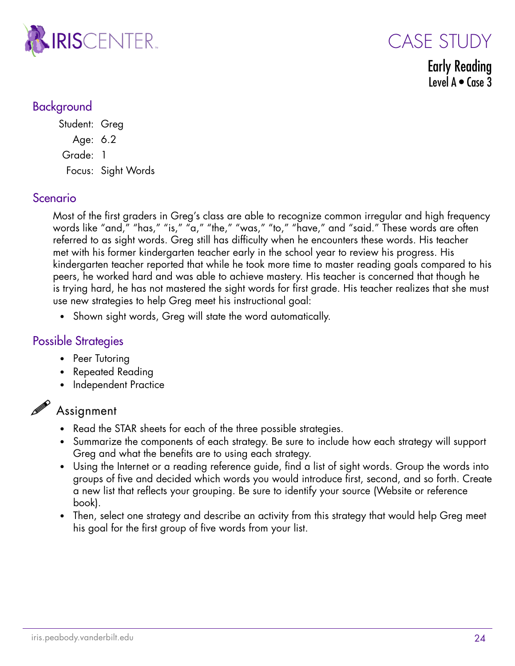

CASE STUDY

Early Reading Level  $A \bullet \text{Case } 3$ 

#### Background

Student: Greg Age: 6.2 Grade: 1 Focus: Sight Words

#### Scenario

Most of the first graders in Greg's class are able to recognize common irregular and high frequency words like "and," "has," "is," "a," "the," "was," "to," "have," and "said." These words are often referred to as sight words. Greg still has difficulty when he encounters these words. His teacher met with his former kindergarten teacher early in the school year to review his progress. His kindergarten teacher reported that while he took more time to master reading goals compared to his peers, he worked hard and was able to achieve mastery. His teacher is concerned that though he is trying hard, he has not mastered the sight words for first grade. His teacher realizes that she must use new strategies to help Greg meet his instructional goal:

• Shown sight words, Greg will state the word automatically.

#### Possible Strategies

- Peer Tutoring
- Repeated Reading
- Independent Practice

### $\mathscr P$  Assignment

- Read the STAR sheets for each of the three possible strategies.
- Summarize the components of each strategy. Be sure to include how each strategy will support Greg and what the benefits are to using each strategy.
- Using the Internet or a reading reference guide, find a list of sight words. Group the words into groups of five and decided which words you would introduce first, second, and so forth. Create a new list that reflects your grouping. Be sure to identify your source (Website or reference book).
- Then, select one strategy and describe an activity from this strategy that would help Greg meet his goal for the first group of five words from your list.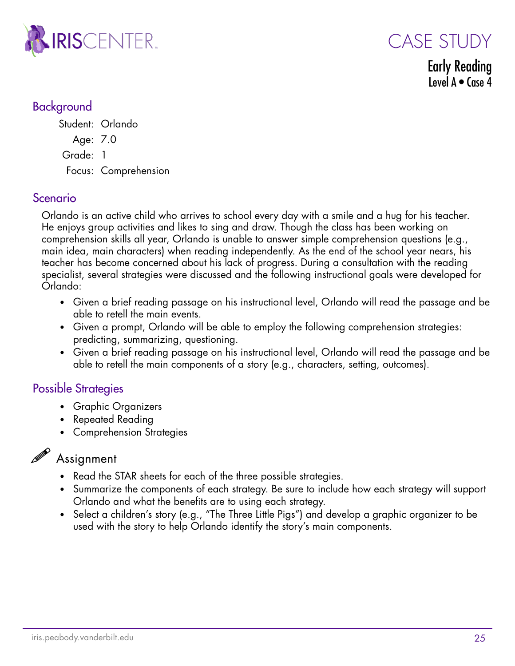

CASE STUDY

Early Reading Level  $A \bullet C$  ase 4

#### Background

Student: Orlando Age: 7.0 Grade: 1 Focus: Comprehension

#### Scenario

Orlando is an active child who arrives to school every day with a smile and a hug for his teacher. He enjoys group activities and likes to sing and draw. Though the class has been working on comprehension skills all year, Orlando is unable to answer simple comprehension questions (e.g., main idea, main characters) when reading independently. As the end of the school year nears, his teacher has become concerned about his lack of progress. During a consultation with the reading specialist, several strategies were discussed and the following instructional goals were developed for Orlando:

- Given a brief reading passage on his instructional level, Orlando will read the passage and be able to retell the main events.
- Given a prompt, Orlando will be able to employ the following comprehension strategies: predicting, summarizing, questioning.
- Given a brief reading passage on his instructional level, Orlando will read the passage and be able to retell the main components of a story (e.g., characters, setting, outcomes).

#### Possible Strategies

- Graphic Organizers
- Repeated Reading
- Comprehension Strategies

#### Assignment

- Read the STAR sheets for each of the three possible strategies.
- Summarize the components of each strategy. Be sure to include how each strategy will support Orlando and what the benefits are to using each strategy.
- Select a children's story (e.g., "The Three Little Pigs") and develop a graphic organizer to be used with the story to help Orlando identify the story's main components.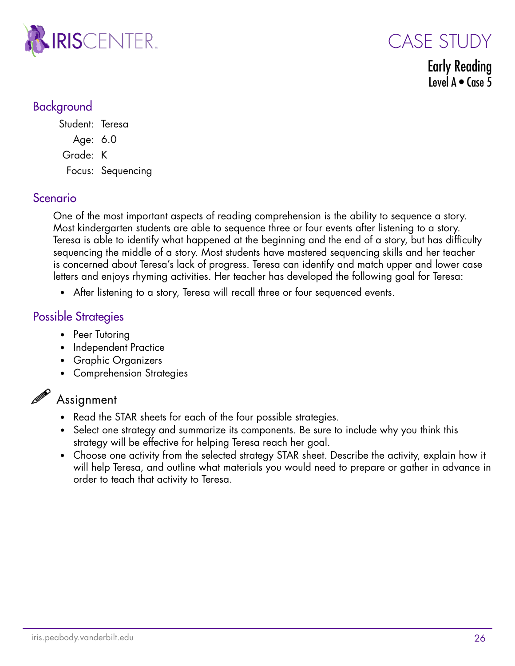



Early Reading Level  $A \bullet \text{Case } 5$ 

#### Background

Student: Teresa Age: 6.0 Grade: K Focus: Sequencing

#### Scenario

One of the most important aspects of reading comprehension is the ability to sequence a story. Most kindergarten students are able to sequence three or four events after listening to a story. Teresa is able to identify what happened at the beginning and the end of a story, but has difficulty sequencing the middle of a story. Most students have mastered sequencing skills and her teacher is concerned about Teresa's lack of progress. Teresa can identify and match upper and lower case letters and enjoys rhyming activities. Her teacher has developed the following goal for Teresa:

• After listening to a story, Teresa will recall three or four sequenced events.

#### Possible Strategies

- Peer Tutoring
- Independent Practice
- Graphic Organizers
- Comprehension Strategies

# $\mathscr{P}$  Assignment

- Read the STAR sheets for each of the four possible strategies.
- Select one strategy and summarize its components. Be sure to include why you think this strategy will be effective for helping Teresa reach her goal.
- Choose one activity from the selected strategy STAR sheet. Describe the activity, explain how it will help Teresa, and outline what materials you would need to prepare or gather in advance in order to teach that activity to Teresa.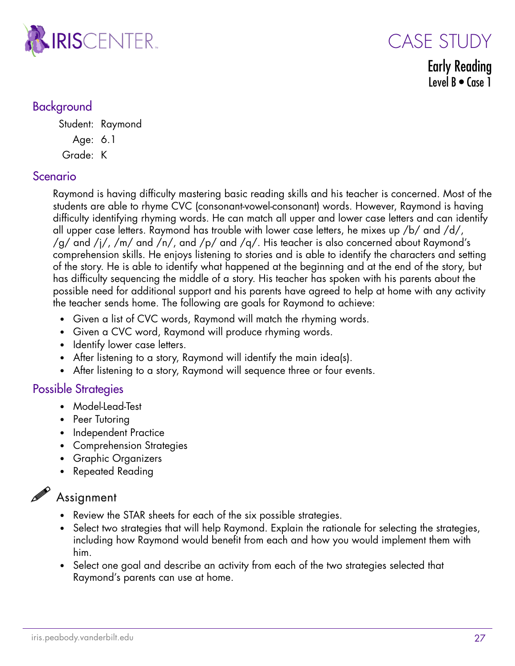

#### CASE STUDY Early Reading Level  $B \bullet C$ ase 1

#### Background

Student: Raymond

Age: 6.1

Grade: K

#### Scenario

Raymond is having difficulty mastering basic reading skills and his teacher is concerned. Most of the students are able to rhyme CVC (consonant-vowel-consonant) words. However, Raymond is having difficulty identifying rhyming words. He can match all upper and lower case letters and can identify all upper case letters. Raymond has trouble with lower case letters, he mixes up /b/ and /d/, /g/ and /j/, /m/ and /n/, and /p/ and /q/. His teacher is also concerned about Raymond's comprehension skills. He enjoys listening to stories and is able to identify the characters and setting of the story. He is able to identify what happened at the beginning and at the end of the story, but has difficulty sequencing the middle of a story. His teacher has spoken with his parents about the possible need for additional support and his parents have agreed to help at home with any activity the teacher sends home. The following are goals for Raymond to achieve:

- Given a list of CVC words, Raymond will match the rhyming words.
- Given a CVC word, Raymond will produce rhyming words.
- Identify lower case letters.
- After listening to a story, Raymond will identify the main idea(s).
- After listening to a story, Raymond will sequence three or four events.

#### Possible Strategies

- Model-Lead-Test
- Peer Tutoring
- Independent Practice
- Comprehension Strategies
- Graphic Organizers
- Repeated Reading

# $\mathscr{P}$  Assignment

- Review the STAR sheets for each of the six possible strategies.
- Select two strategies that will help Raymond. Explain the rationale for selecting the strategies, including how Raymond would benefit from each and how you would implement them with him.
- Select one goal and describe an activity from each of the two strategies selected that Raymond's parents can use at home.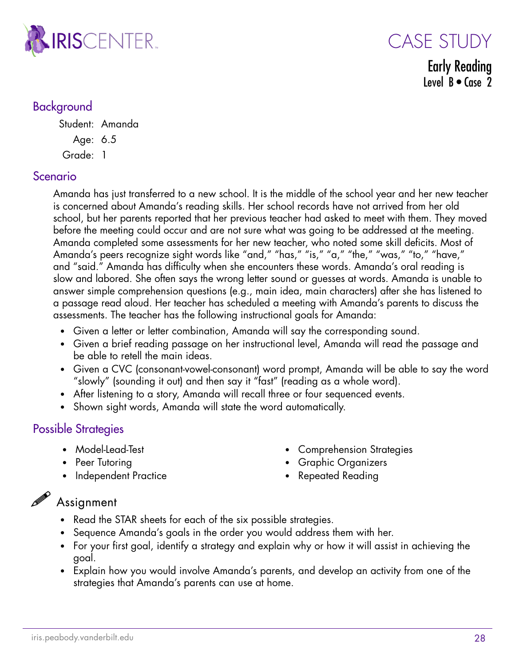

CASE STUDY Early Reading Level  $B \bullet C$ ase 2

#### Background

Student: Amanda Age: 6.5

Grade: 1

#### Scenario

Amanda has just transferred to a new school. It is the middle of the school year and her new teacher is concerned about Amanda's reading skills. Her school records have not arrived from her old school, but her parents reported that her previous teacher had asked to meet with them. They moved before the meeting could occur and are not sure what was going to be addressed at the meeting. Amanda completed some assessments for her new teacher, who noted some skill deficits. Most of Amanda's peers recognize sight words like "and," "has," "is," "a," "the," "was," "to," "have," and "said." Amanda has difficulty when she encounters these words. Amanda's oral reading is slow and labored. She often says the wrong letter sound or guesses at words. Amanda is unable to answer simple comprehension questions (e.g., main idea, main characters) after she has listened to a passage read aloud. Her teacher has scheduled a meeting with Amanda's parents to discuss the assessments. The teacher has the following instructional goals for Amanda:

- Given a letter or letter combination, Amanda will say the corresponding sound.
- Given a brief reading passage on her instructional level, Amanda will read the passage and be able to retell the main ideas.
- Given a CVC (consonant-vowel-consonant) word prompt, Amanda will be able to say the word "slowly" (sounding it out) and then say it "fast" (reading as a whole word).
- After listening to a story, Amanda will recall three or four sequenced events.
- Shown sight words, Amanda will state the word automatically.

#### Possible Strategies

- Model-Lead-Test
- Peer Tutoring
- Independent Practice
- Comprehension Strategies
- Graphic Organizers
- Repeated Reading

#### $\mathscr{P}$  Assignment

- Read the STAR sheets for each of the six possible strategies.
- Sequence Amanda's goals in the order you would address them with her.
- For your first goal, identify a strategy and explain why or how it will assist in achieving the goal.
- Explain how you would involve Amanda's parents, and develop an activity from one of the strategies that Amanda's parents can use at home.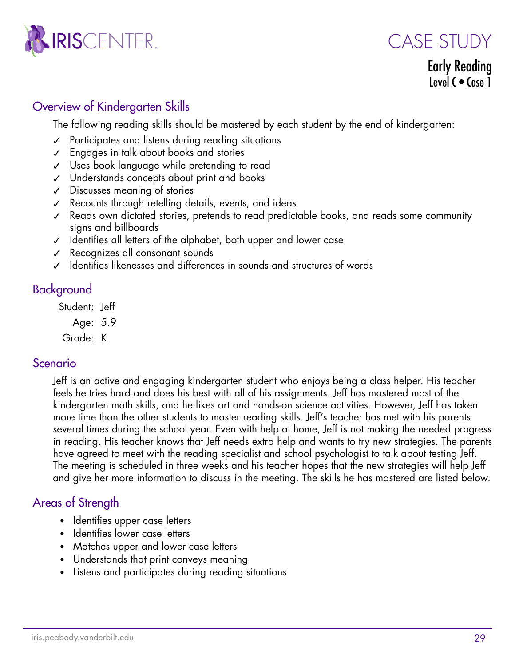



Early Reading Level  $C \bullet C$  ase 1

#### Overview of Kindergarten Skills

The following reading skills should be mastered by each student by the end of kindergarten:

- ✓ Participates and listens during reading situations
- ✓ Engages in talk about books and stories
- ✓ Uses book language while pretending to read
- ✓ Understands concepts about print and books
- ✓ Discusses meaning of stories
- ✓ Recounts through retelling details, events, and ideas
- ✓ Reads own dictated stories, pretends to read predictable books, and reads some community signs and billboards
- ✓ Identifies all letters of the alphabet, both upper and lower case
- ✓ Recognizes all consonant sounds
- ✓ Identifies likenesses and differences in sounds and structures of words

#### Background

Student: Jeff

Age: 5.9

Grade: K

#### Scenario

Jeff is an active and engaging kindergarten student who enjoys being a class helper. His teacher feels he tries hard and does his best with all of his assignments. Jeff has mastered most of the kindergarten math skills, and he likes art and hands-on science activities. However, Jeff has taken more time than the other students to master reading skills. Jeff's teacher has met with his parents several times during the school year. Even with help at home, Jeff is not making the needed progress in reading. His teacher knows that Jeff needs extra help and wants to try new strategies. The parents have agreed to meet with the reading specialist and school psychologist to talk about testing Jeff. The meeting is scheduled in three weeks and his teacher hopes that the new strategies will help Jeff and give her more information to discuss in the meeting. The skills he has mastered are listed below.

#### Areas of Strength

- Identifies upper case letters
- Identifies lower case letters
- Matches upper and lower case letters
- Understands that print conveys meaning
- Listens and participates during reading situations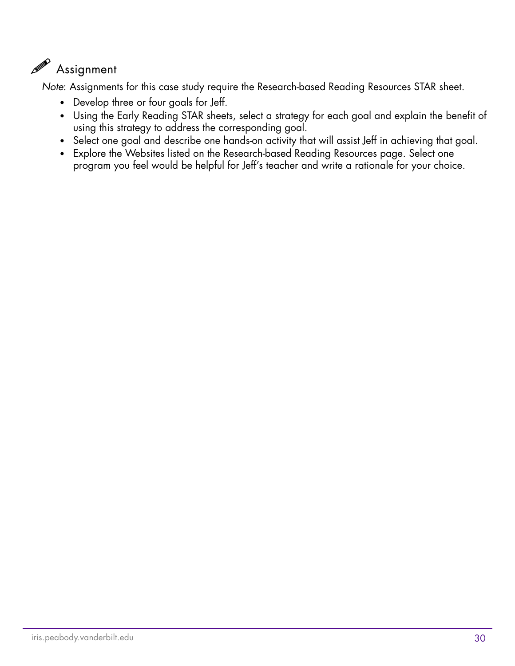# $\mathscr{P}$  Assignment

*Note*: Assignments for this case study require the Research-based Reading Resources STAR sheet.

- Develop three or four goals for Jeff.
- Using the Early Reading STAR sheets, select a strategy for each goal and explain the benefit of using this strategy to address the corresponding goal.
- Select one goal and describe one hands-on activity that will assist Jeff in achieving that goal.
- Explore the Websites listed on the Research-based Reading Resources page. Select one program you feel would be helpful for Jeff's teacher and write a rationale for your choice.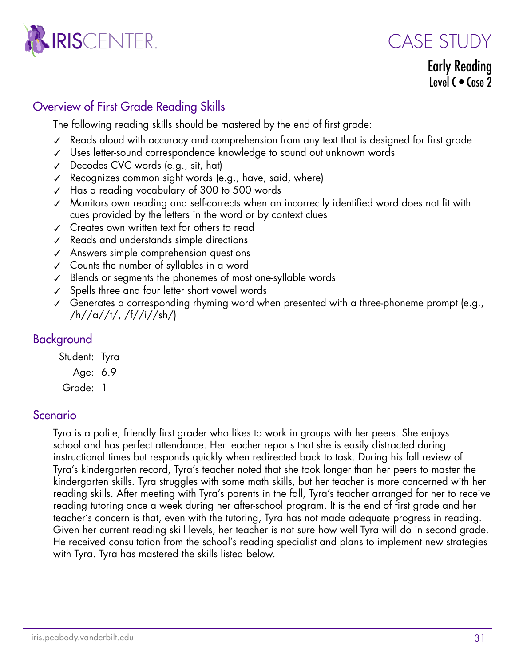

CASE STUDY

Early Reading Level  $C \bullet C$  ase 2

#### Overview of First Grade Reading Skills

The following reading skills should be mastered by the end of first grade:

- ✓ Reads aloud with accuracy and comprehension from any text that is designed for first grade
- ✓ Uses letter-sound correspondence knowledge to sound out unknown words
- ✓ Decodes CVC words (e.g., sit, hat)
- ✓ Recognizes common sight words (e.g., have, said, where)
- ✓ Has a reading vocabulary of 300 to 500 words
- ✓ Monitors own reading and self-corrects when an incorrectly identified word does not fit with cues provided by the letters in the word or by context clues
- ✓ Creates own written text for others to read
- ✓ Reads and understands simple directions
- ✓ Answers simple comprehension questions
- ✓ Counts the number of syllables in a word
- ✓ Blends or segments the phonemes of most one-syllable words
- ✓ Spells three and four letter short vowel words
- $\checkmark$  Generates a corresponding rhyming word when presented with a three-phoneme prompt (e.g., /h//a//t/, /f//i//sh/)

#### Background

Student: Tyra

Age: 6.9

Grade: 1

#### Scenario

Tyra is a polite, friendly first grader who likes to work in groups with her peers. She enjoys school and has perfect attendance. Her teacher reports that she is easily distracted during instructional times but responds quickly when redirected back to task. During his fall review of Tyra's kindergarten record, Tyra's teacher noted that she took longer than her peers to master the kindergarten skills. Tyra struggles with some math skills, but her teacher is more concerned with her reading skills. After meeting with Tyra's parents in the fall, Tyra's teacher arranged for her to receive reading tutoring once a week during her after-school program. It is the end of first grade and her teacher's concern is that, even with the tutoring, Tyra has not made adequate progress in reading. Given her current reading skill levels, her teacher is not sure how well Tyra will do in second grade. He received consultation from the school's reading specialist and plans to implement new strategies with Tyra. Tyra has mastered the skills listed below.